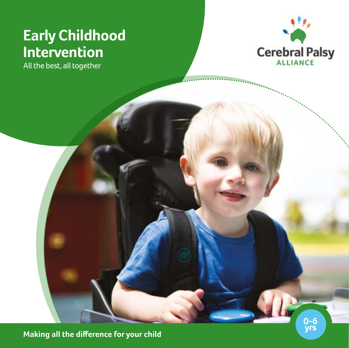# **Early Childhood Intervention**

All the best, all together



**Making all the difference for your child**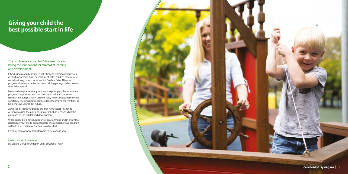### The first five years of a child's life are critical in laying the foundations for all areas of learning and development.

Introducing carefully designed activities and learning experiences at this time of rapid brain development helps children to form new neural pathways much more readily. Cerebral Palsy Alliance's program aims to maximise this time, helping young children to reach their full potential.

Based on best practice early intervention principles, this innovative program is supported with the latest international science and research in neuroplasticity. Cerebral Palsy Alliance Research Institute constantly reviews cutting-edge evidence to evolve interventions to help improve your child's future.

As well as all-inclusive groups, children have access to a range of individualised therapies, ensuring each child receives a holistic approach to early childhood development.

When applied in a caring, supportive environment, and in a way that is based on your child's personal goals, this comprehensive program will help your child have the best possible start.

Cerebral Palsy Alliance looks forward to welcoming you.

Professor Nadia Badawi AM Macquarie Group Foundation Chair of Cerebral Palsy



# **Giving your child the best possible start in life**

**cerebralpalsy.org.au | 3**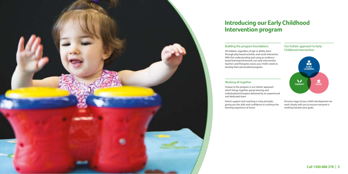

# **Introducing our Early Childhood Intervention program**

### Building the program foundations

All children, regardless of age or ability, learn through play-based activities and social interaction. With this understanding and using an evidencebased learning framework, our early intervention teachers and therapists assess your child's needs to develop their personalised program.

## Working all together

Unique to the program is our holistic approach which brings together group learning and individualised therapies delivered by an experienced and dedicated team.



Parent support and coaching is a key principle, giving you the skills and confidence to continue the learning experience at home.

At every stage of your child's development we work closely with you to ensure everyone is working towards your goals.

# **Call 1300 888 378 | 5**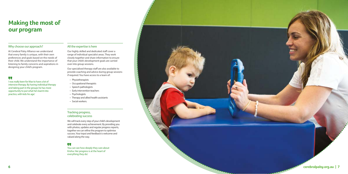# **Making the most of our program**

### Why choose our approach?

At Cerebral Palsy Alliance we understand that every family is unique, with their own preferences and goals based on the needs of their child. We understand the importance of listening to family concerns and aspirations in designing your child's program.

## w

## All the expertise is here

Our highly skilled and dedicated staff cover a range of individual specialist areas. They work closely together and share information to ensure that your child's development goals are carried over into group sessions.

Our specialised therapy staff are also available to provide coaching and advice during group sessions if required. You have access to a team of:

- Physiotherapists
- Occupational therapists
- Speech pathologists
- Early intervention teachers
- Psychologists
- Therapy and allied health assistants
- Social workers.

I was really keen for Max to have a lot of intensive therapy. By having individual therapy and taking part in the groups he has more opportunity to put what he's learnt into practice, with kids his age.'

#### Tracking progress, celebrating success

We will track every step of your child's development and celebrate every achievement. By providing you with photos, updates and regular progress reports, together we can refine the program to optimise success. Your input and feedback is welcome and valued along the way.

## **ve**

You can see how deeply they care about Krisha. Her progress is at the heart of everything they do.'



**cerebralpalsy.org.au | 7**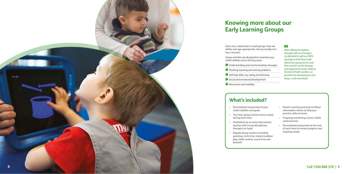# **Knowing more about our Early Learning Groups**

Each one is delivered in small group ability and age appropriate, during hour sessions.

Group activities are designed to maximise your child's abilities across five key areas:

<sup>1</sup> Understanding and communicating 2 Thinking, learning and solving pro <sup>3</sup> Self-help skills, e.g. eating and dre 4 Social and emotional development 3 Movement and mobility.

- Personalised assessment of child's abilities and goals.
- Two hour group session once during term time.
- Facilitation by an early inter teacher with a transdisciplin therapist on hand.
- Regular group routine include greeting, circle time, indoor, play, toilet routine, snack tin farewell.

| ps, that are |  |
|--------------|--|
| weekly two   |  |
|              |  |

| ing messages |
|--------------|
| oblems       |
| essing       |
| :nt          |

## W

# **What's included?**

| your<br>ce a week,         | ٠         | Parent coaching and easy to follow<br>information sheets to help you<br>practice skills at home. |
|----------------------------|-----------|--------------------------------------------------------------------------------------------------|
| vention                    |           | Ongoing monitoring of your child's<br>achievements.                                              |
| ary                        | $\bullet$ | Personalised assessment at the end<br>of each term to review progress and                        |
| ding<br>/outdoor<br>ne and |           | ongoing needs.                                                                                   |

After talking the options through with our therapist, we decided to split our NDIS package so that Shai could attend two group terms, and then use the rest for therapy and equipment needs. Getting the best of both worlds is so good for his development and keeps us all motivated!'

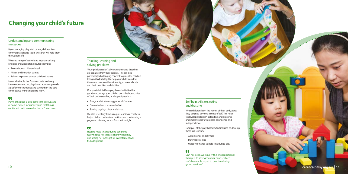# **Changing your child's future**

### Understanding and communicating messages

By encouraging play with others, children learn communication and social skills that will help them throughout life.

We use a range of activities to improve talking, listening and understanding, for example:

- Peek-a-boo or hide-and-seek
- Mirror and imitation games
- Talking to photos of your child and others.

It sounds simple, but for an experienced early intervention teacher, play-based activities provide a platform to introduce and strengthen the core concepts we want children to learn.

## $\overline{\mathbf{u}}$

Playing the peek-a-boo game in the group, and at home, helped Jack understand that things continue to exist even when he can't see them.'

> Hearing Maya's name during song time really helped her to realise her own identity, and seeing her face light up in excitement was truly delightful.'

# Thinking, learning and solving problems

Young children don't always understand that they are separate from their parents. This can be a particularly challenging concept to grasp for children living with disability. We help your child learn that they are a person with an identity; a name, a body and their own likes and abilities.

Our specialist staff use play-based activities that gently encourage your child to push the boundaries of their understanding and capacity such as:

- Songs and stories using your child's name
- Games to learn cause and effect
- Sorting toys by colour and shape.

We also use story time as a pre-reading activity to help children understand actions such as turning a page and viewing words from left to right.

# U.

## Self-help skills e.g. eating and dressing

When children learn the names of their body parts, they begin to develop a sense of self. This helps to develop skills such as feeding and dressing, and improves self-awareness, confidence and independence.

Examples of the play-based activities used to develop these skills include:

- Action songs and rhymes
- Playing dress-ups
- Using two hands to hold toys during play.

# **LL**

Linh has been working with her occupational therapist to strengthen her hands, which she's been able to put to practice during group sessions.'

**10 cerebralpalsy.org.au | 11**

*College Street*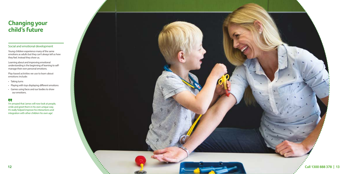## Social and emotional development

Young children experience many of the same emotions as adults but they can't always tell us how they feel. Instead they show us.

Learning about and improving emotional understanding is the beginning of learning to selfmanage their own personal emotions.

Play-based activities we use to learn about emotions include:

- Taking turns
- Playing with toys displaying different emotions
- Games using faces and our bodies to show our emotions.

# W

I'm amazed that James will now look at people, smile and greet them in his own unique way. It's really helped improve his interactions and integration with other children his own age'.

# **Changing your child's future**

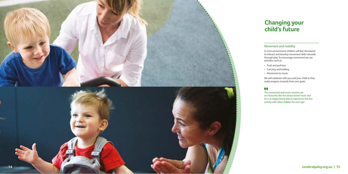# **Changing your child's future**

## Movement and mobility

In a fun environment children will feel stimulated to interact and develop movement skills naturally through play. To encourage movement we use activities such as:

- Push and pull toys
- Carrying and holding
- Movement to music.

We will celebrate with you and your child as they make progress towards their own goals.

# **CC**

The movement and music sessions are our favourite. Ben has always loved music and he is so happy being able to experience this fun activity with other children his own age.'

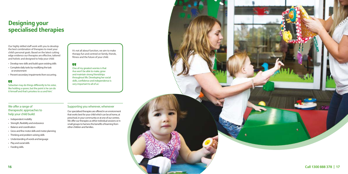### We offer a range of therapeutic approaches to help your child build:

- Independent mobility
- Strength, flexibility and endurance
- Balance and coordination
- Gross and fine motor skills and motor planning
- Thinking and problem solving skills
- Understanding of words and language
- Play and social skills
- Feeding skills.

## Supporting you wherever, whenever

Our specialised therapies are offered in an environment that works best for your child which can be at home, at preschool, in your community or at one of our centres. We offer our therapies as either individual sessions or in small groups to harness the benefits of learning from other children and families.

# **Designing your specialised therapies**

Our highly skilled staff work with you to develop the best combination of therapies to meet your child's personal goals. Based on the latest cutting edge evidence our therapies are effective, tailored and holistic and designed to help your child:

- Develop new skills and build upon existing skills
- Complete daily tasks by modifying the task or environment
- Prevent secondary impairments from occurring.

## W

Sebastian may do things differently to his sister, like holding a spoon, but the point is he can do it himself and that's priceless to us and him.'

#### It's not all about function, we aim to make therapy fun and centred on family, friends, fitness and the future of your child.

#### $\overline{\mathbf{u}}$

One of my greatest worries is that Ava won't be able to make, grow and maintain strong friendships throughout life. Developing her social skills, confidence and independence is very important to all of us.'



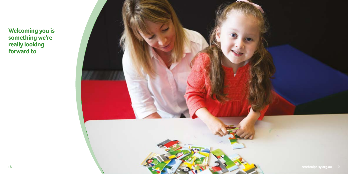

**Welcoming you is something we're really looking forward to**